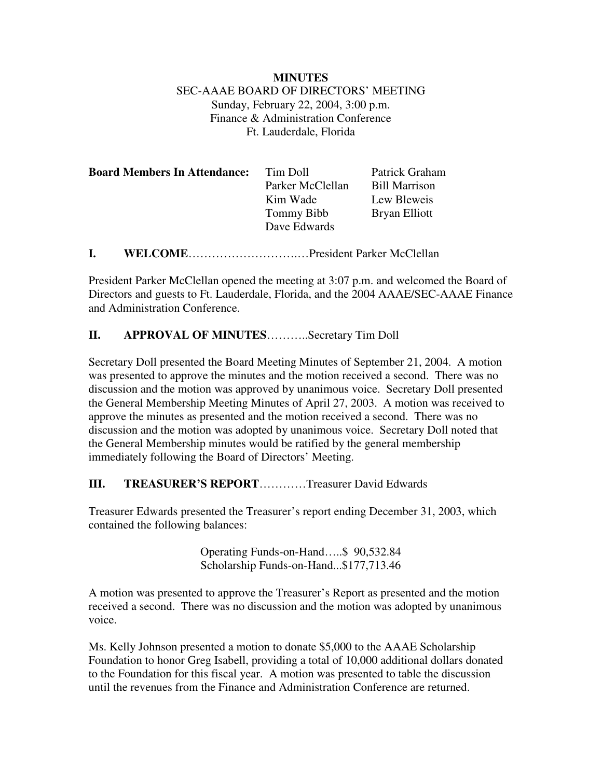#### **MINUTES** SEC-AAAE BOARD OF DIRECTORS' MEETING Sunday, February 22, 2004, 3:00 p.m. Finance & Administration Conference Ft. Lauderdale, Florida

| <b>Board Members In Attendance:</b> | Tim Doll          | Patrick Graham       |
|-------------------------------------|-------------------|----------------------|
|                                     | Parker McClellan  | <b>Bill Marrison</b> |
|                                     | Kim Wade          | Lew Bleweis          |
|                                     | <b>Tommy Bibb</b> | Bryan Elliott        |
|                                     | Dave Edwards      |                      |
|                                     |                   |                      |

**I. WELCOME**……………………….…President Parker McClellan

President Parker McClellan opened the meeting at 3:07 p.m. and welcomed the Board of Directors and guests to Ft. Lauderdale, Florida, and the 2004 AAAE/SEC-AAAE Finance and Administration Conference.

# **II. APPROVAL OF MINUTES**………..Secretary Tim Doll

Secretary Doll presented the Board Meeting Minutes of September 21, 2004. A motion was presented to approve the minutes and the motion received a second. There was no discussion and the motion was approved by unanimous voice. Secretary Doll presented the General Membership Meeting Minutes of April 27, 2003. A motion was received to approve the minutes as presented and the motion received a second. There was no discussion and the motion was adopted by unanimous voice. Secretary Doll noted that the General Membership minutes would be ratified by the general membership immediately following the Board of Directors' Meeting.

#### **III. TREASURER'S REPORT**…………Treasurer David Edwards

Treasurer Edwards presented the Treasurer's report ending December 31, 2003, which contained the following balances:

> Operating Funds-on-Hand…..\$ 90,532.84 Scholarship Funds-on-Hand...\$177,713.46

A motion was presented to approve the Treasurer's Report as presented and the motion received a second. There was no discussion and the motion was adopted by unanimous voice.

Ms. Kelly Johnson presented a motion to donate \$5,000 to the AAAE Scholarship Foundation to honor Greg Isabell, providing a total of 10,000 additional dollars donated to the Foundation for this fiscal year. A motion was presented to table the discussion until the revenues from the Finance and Administration Conference are returned.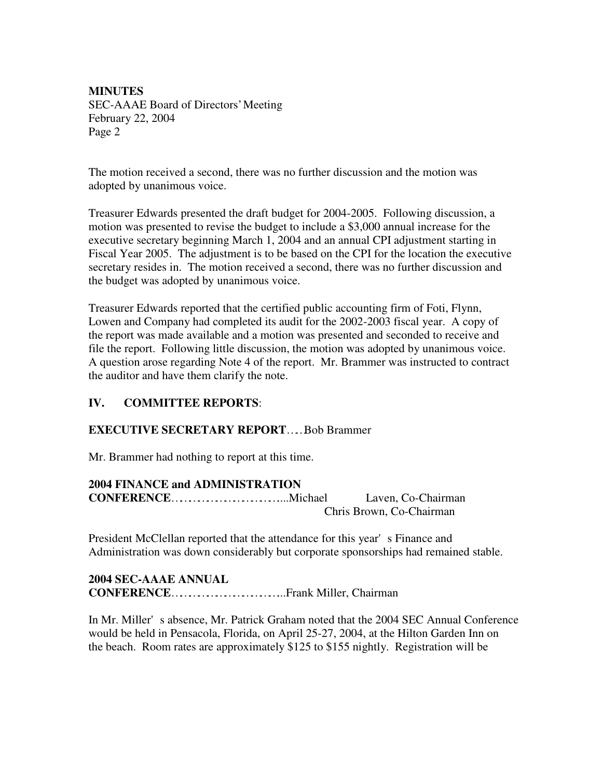The motion received a second, there was no further discussion and the motion was adopted by unanimous voice.

Treasurer Edwards presented the draft budget for 2004-2005. Following discussion, a motion was presented to revise the budget to include a \$3,000 annual increase for the executive secretary beginning March 1, 2004 and an annual CPI adjustment starting in Fiscal Year 2005. The adjustment is to be based on the CPI for the location the executive secretary resides in. The motion received a second, there was no further discussion and the budget was adopted by unanimous voice.

Treasurer Edwards reported that the certified public accounting firm of Foti, Flynn, Lowen and Company had completed its audit for the 2002-2003 fiscal year. A copy of the report was made available and a motion was presented and seconded to receive and file the report. Following little discussion, the motion was adopted by unanimous voice. A question arose regarding Note 4 of the report. Mr. Brammer was instructed to contract the auditor and have them clarify the note.

# **IV. COMMITTEE REPORTS**:

# **EXECUTIVE SECRETARY REPORT**……Bob Brammer

Mr. Brammer had nothing to report at this time.

#### **2004 FINANCE and ADMINISTRATION**

**CONFERENCE**………………………………....Michael Laven, Co-Chairman Chris Brown, Co-Chairman

President McClellan reported that the attendance for this year's Finance and Administration was down considerably but corporate sponsorships had remained stable.

#### **2004 SEC-AAAE ANNUAL CONFERENCE**………………………………...Frank Miller, Chairman

In Mr. Miller's absence, Mr. Patrick Graham noted that the 2004 SEC Annual Conference would be held in Pensacola, Florida, on April 25-27, 2004, at the Hilton Garden Inn on the beach. Room rates are approximately \$125 to \$155 nightly. Registration will be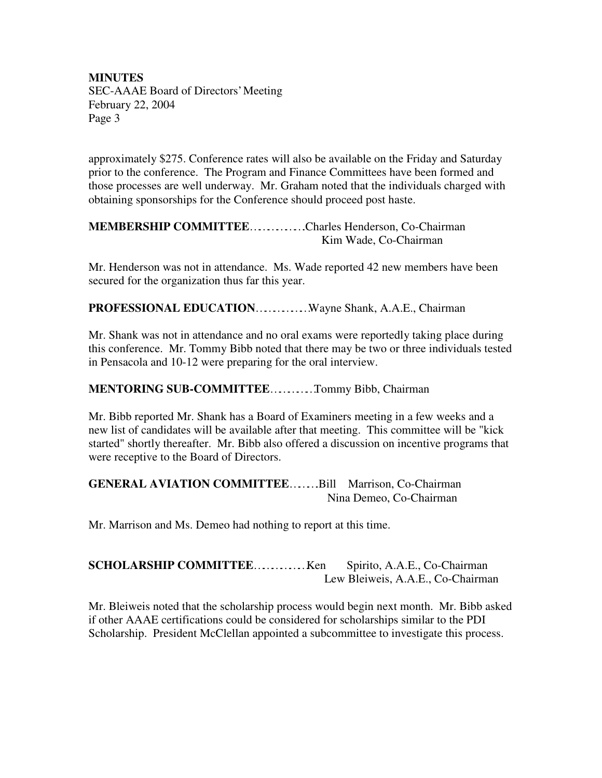approximately \$275. Conference rates will also be available on the Friday and Saturday prior to the conference. The Program and Finance Committees have been formed and those processes are well underway. Mr. Graham noted that the individuals charged with obtaining sponsorships for the Conference should proceed post haste.

#### **MEMBERSHIP COMMITTEE**……………….Charles Henderson, Co-Chairman Kim Wade, Co-Chairman

Mr. Henderson was not in attendance. Ms. Wade reported 42 new members have been secured for the organization thus far this year.

**PROFESSIONAL EDUCATION**………………Wayne Shank, A.A.E., Chairman

Mr. Shank was not in attendance and no oral exams were reportedly taking place during this conference. Mr. Tommy Bibb noted that there may be two or three individuals tested in Pensacola and 10-12 were preparing for the oral interview.

#### **MENTORING SUB-COMMITTEE**……………Tommy Bibb, Chairman

Mr. Bibb reported Mr. Shank has a Board of Examiners meeting in a few weeks and a new list of candidates will be available after that meeting. This committee will be "kick started" shortly thereafter. Mr. Bibb also offered a discussion on incentive programs that were receptive to the Board of Directors.

# **GENERAL AVIATION COMMITTEE**……….Bill Marrison, Co-Chairman Nina Demeo, Co-Chairman

Mr. Marrison and Ms. Demeo had nothing to report at this time.

# **SCHOLARSHIP COMMITTEE**………………Ken Spirito, A.A.E., Co-Chairman Lew Bleiweis, A.A.E., Co-Chairman

Mr. Bleiweis noted that the scholarship process would begin next month. Mr. Bibb asked if other AAAE certifications could be considered for scholarships similar to the PDI Scholarship. President McClellan appointed a subcommittee to investigate this process.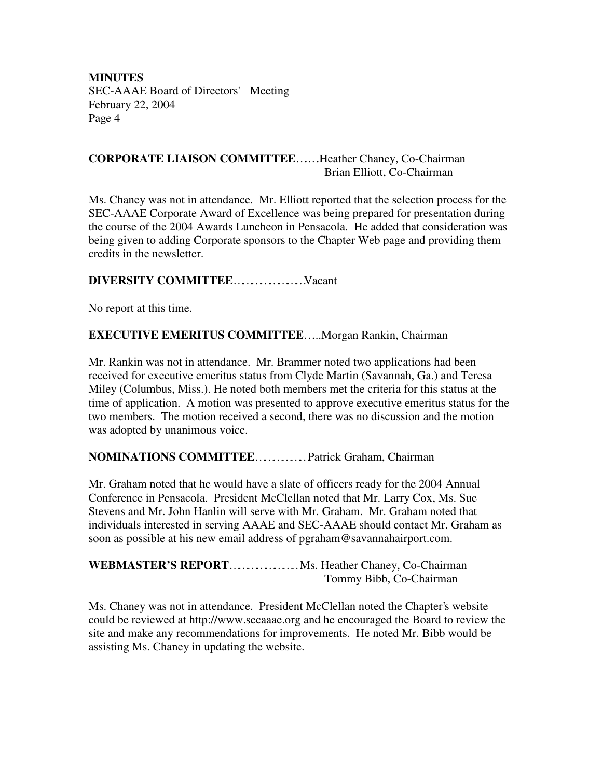#### **CORPORATE LIAISON COMMITTEE**….….Heather Chaney, Co-Chairman Brian Elliott, Co-Chairman

Ms. Chaney was not in attendance. Mr. Elliott reported that the selection process for the SEC-AAAE Corporate Award of Excellence was being prepared for presentation during the course of the 2004 Awards Luncheon in Pensacola. He added that consideration was being given to adding Corporate sponsors to the Chapter Web page and providing them credits in the newsletter.

# **DIVERSITY COMMITTEE**……………………Vacant

No report at this time.

# **EXECUTIVE EMERITUS COMMITTEE**…...Morgan Rankin, Chairman

Mr. Rankin was not in attendance. Mr. Brammer noted two applications had been received for executive emeritus status from Clyde Martin (Savannah, Ga.) and Teresa Miley (Columbus, Miss.). He noted both members met the criteria for this status at the time of application. A motion was presented to approve executive emeritus status for the two members. The motion received a second, there was no discussion and the motion was adopted by unanimous voice.

# **NOMINATIONS COMMITTEE**………………Patrick Graham, Chairman

Mr. Graham noted that he would have a slate of officers ready for the 2004 Annual Conference in Pensacola. President McClellan noted that Mr. Larry Cox, Ms. Sue Stevens and Mr. John Hanlin will serve with Mr. Graham. Mr. Graham noted that individuals interested in serving AAAE and SEC-AAAE should contact Mr. Graham as soon as possible at his new email address of pgraham@savannahairport.com.

**WEBMASTER'S REPORT**……………………Ms. Heather Chaney, Co-Chairman Tommy Bibb, Co-Chairman

Ms. Chaney was not in attendance. President McClellan noted the Chapter's website could be reviewed at http://www.secaaae.org and he encouraged the Board to review the site and make any recommendations for improvements. He noted Mr. Bibb would be assisting Ms. Chaney in updating the website.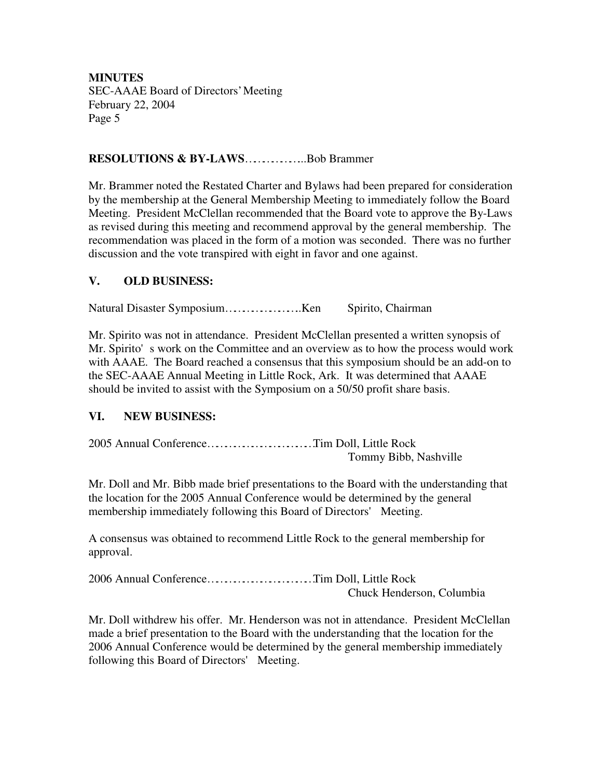#### **RESOLUTIONS & BY-LAWS**………………...Bob Brammer

Mr. Brammer noted the Restated Charter and Bylaws had been prepared for consideration by the membership at the General Membership Meeting to immediately follow the Board Meeting. President McClellan recommended that the Board vote to approve the By-Laws as revised during this meeting and recommend approval by the general membership. The recommendation was placed in the form of a motion was seconded. There was no further discussion and the vote transpired with eight in favor and one against.

#### **V. OLD BUSINESS:**

Natural Disaster Symposium……………………..Ken Spirito, Chairman

Mr. Spirito was not in attendance. President McClellan presented a written synopsis of Mr. Spirito's work on the Committee and an overview as to how the process would work with AAAE. The Board reached a consensus that this symposium should be an add-on to the SEC-AAAE Annual Meeting in Little Rock, Ark. It was determined that AAAE should be invited to assist with the Symposium on a 50/50 profit share basis.

# **VI. NEW BUSINESS:**

2005 Annual Conference………………………………Tim Doll, Little Rock Tommy Bibb, Nashville

Mr. Doll and Mr. Bibb made brief presentations to the Board with the understanding that the location for the 2005 Annual Conference would be determined by the general membership immediately following this Board of Directors' Meeting.

A consensus was obtained to recommend Little Rock to the general membership for approval.

2006 Annual Conference………………………………Tim Doll, Little Rock Chuck Henderson, Columbia

Mr. Doll withdrew his offer. Mr. Henderson was not in attendance. President McClellan made a brief presentation to the Board with the understanding that the location for the 2006 Annual Conference would be determined by the general membership immediately following this Board of Directors' Meeting.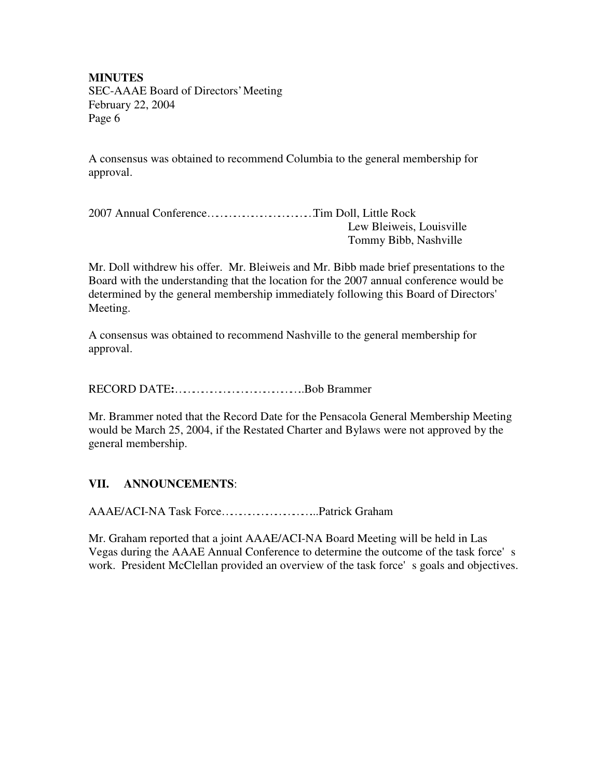A consensus was obtained to recommend Columbia to the general membership for approval.

2007 Annual Conference………………………………Tim Doll, Little Rock Lew Bleiweis, Louisville Tommy Bibb, Nashville

Mr. Doll withdrew his offer. Mr. Bleiweis and Mr. Bibb made brief presentations to the Board with the understanding that the location for the 2007 annual conference would be determined by the general membership immediately following this Board of Directors' Meeting.

A consensus was obtained to recommend Nashville to the general membership for approval.

RECORD DATE**:**……………………………………..Bob Brammer

Mr. Brammer noted that the Record Date for the Pensacola General Membership Meeting would be March 25, 2004, if the Restated Charter and Bylaws were not approved by the general membership.

# **VII. ANNOUNCEMENTS**:

AAAE/ACI-NA Task Force…………………………...Patrick Graham

Mr. Graham reported that a joint AAAE/ACI-NA Board Meeting will be held in Las Vegas during the AAAE Annual Conference to determine the outcome of the task force's work. President McClellan provided an overview of the task force's goals and objectives.